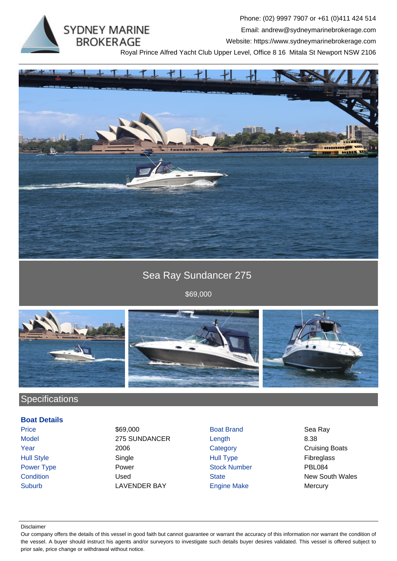**SYDNEY MARINE BROKERAGE** 

Phone: (02) 9997 7907 or +61 (0)411 424 514 Email: andrew@sydneymarinebrokerage.com Website: https://www.sydneymarinebrokerage.com

Royal Prince Alfred Yacht Club Upper Level, Office 8 16 Mitala St Newport NSW 2106



Sea Ray Sundancer 275

\$69,000



## **Specifications**

### **Boat Details**

Price \$69,000 Boat Brand Sea Ray Model 275 SUNDANCER Length 8.38 Year 2006 2006 Category Category Cruising Boats Hull Style Single Hull Type Fibreglass Power Type **Power Power Stock Number** PBL084 **Condition Condition Used State** State **New South Wales** Suburb **LAVENDER BAY** Engine Make Mercury

#### Disclaimer

Our company offers the details of this vessel in good faith but cannot guarantee or warrant the accuracy of this information nor warrant the condition of the vessel. A buyer should instruct his agents and/or surveyors to investigate such details buyer desires validated. This vessel is offered subject to prior sale, price change or withdrawal without notice.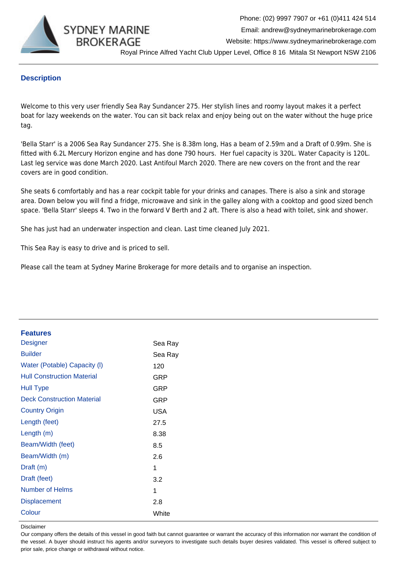

## **Description**

Welcome to this very user friendly Sea Ray Sundancer 275. Her stylish lines and roomy layout makes it a perfect boat for lazy weekends on the water. You can sit back relax and enjoy being out on the water without the huge price tag.

'Bella Starr' is a 2006 Sea Ray Sundancer 275. She is 8.38m long, Has a beam of 2.59m and a Draft of 0.99m. She is fitted with 6.2L Mercury Horizon engine and has done 790 hours. Her fuel capacity is 320L. Water Capacity is 120L. Last leg service was done March 2020. Last Antifoul March 2020. There are new covers on the front and the rear covers are in good condition.

She seats 6 comfortably and has a rear cockpit table for your drinks and canapes. There is also a sink and storage area. Down below you will find a fridge, microwave and sink in the galley along with a cooktop and good sized bench space. 'Bella Starr' sleeps 4. Two in the forward V Berth and 2 aft. There is also a head with toilet, sink and shower.

She has just had an underwater inspection and clean. Last time cleaned July 2021.

This Sea Ray is easy to drive and is priced to sell.

Please call the team at Sydney Marine Brokerage for more details and to organise an inspection.

| <b>Features</b>                   |         |
|-----------------------------------|---------|
| <b>Designer</b>                   | Sea Ray |
| <b>Builder</b>                    | Sea Ray |
| Water (Potable) Capacity (I)      | 120     |
| <b>Hull Construction Material</b> | GRP     |
| <b>Hull Type</b>                  | GRP     |
| <b>Deck Construction Material</b> | GRP     |
| <b>Country Origin</b>             | USA     |
| Length (feet)                     | 27.5    |
| Length $(m)$                      | 8.38    |
| Beam/Width (feet)                 | 8.5     |
| Beam/Width (m)                    | 2.6     |
| Draft (m)                         | 1       |
| Draft (feet)                      | 3.2     |
| Number of Helms                   | 1       |
| <b>Displacement</b>               | 2.8     |
| Colour                            | White   |
|                                   |         |

Disclaimer

Our company offers the details of this vessel in good faith but cannot guarantee or warrant the accuracy of this information nor warrant the condition of the vessel. A buyer should instruct his agents and/or surveyors to investigate such details buyer desires validated. This vessel is offered subject to prior sale, price change or withdrawal without notice.